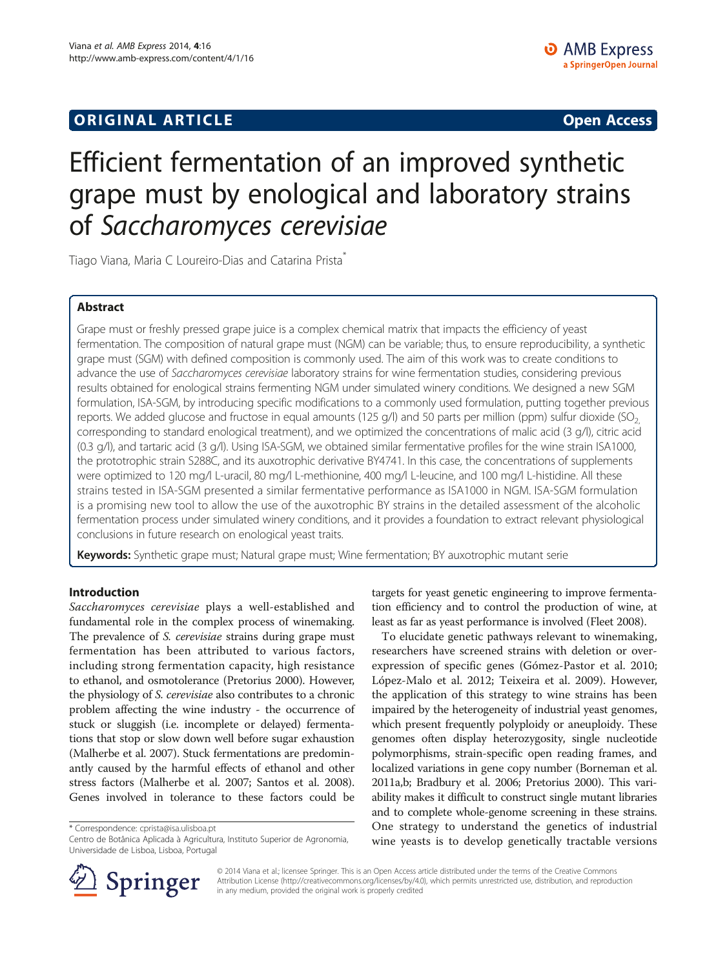# **ORIGINAL ARTICLE CONSUMING A LIGACION CONSUMING A LIGACION CONSUMING A LIGACION**

# Efficient fermentation of an improved synthetic grape must by enological and laboratory strains of Saccharomyces cerevisiae

Tiago Viana, Maria C Loureiro-Dias and Catarina Prista<sup>\*</sup>

# Abstract

Grape must or freshly pressed grape juice is a complex chemical matrix that impacts the efficiency of yeast fermentation. The composition of natural grape must (NGM) can be variable; thus, to ensure reproducibility, a synthetic grape must (SGM) with defined composition is commonly used. The aim of this work was to create conditions to advance the use of Saccharomyces cerevisiae laboratory strains for wine fermentation studies, considering previous results obtained for enological strains fermenting NGM under simulated winery conditions. We designed a new SGM formulation, ISA-SGM, by introducing specific modifications to a commonly used formulation, putting together previous reports. We added glucose and fructose in equal amounts (125 g/l) and 50 parts per million (ppm) sulfur dioxide (SO<sub>2</sub>, corresponding to standard enological treatment), and we optimized the concentrations of malic acid (3 g/l), citric acid (0.3 g/l), and tartaric acid (3 g/l). Using ISA-SGM, we obtained similar fermentative profiles for the wine strain ISA1000, the prototrophic strain S288C, and its auxotrophic derivative BY4741. In this case, the concentrations of supplements were optimized to 120 mg/l L-uracil, 80 mg/l L-methionine, 400 mg/l L-leucine, and 100 mg/l L-histidine. All these strains tested in ISA-SGM presented a similar fermentative performance as ISA1000 in NGM. ISA-SGM formulation is a promising new tool to allow the use of the auxotrophic BY strains in the detailed assessment of the alcoholic fermentation process under simulated winery conditions, and it provides a foundation to extract relevant physiological conclusions in future research on enological yeast traits.

Keywords: Synthetic grape must; Natural grape must; Wine fermentation; BY auxotrophic mutant serie

# Introduction

Saccharomyces cerevisiae plays a well-established and fundamental role in the complex process of winemaking. The prevalence of S. cerevisiae strains during grape must fermentation has been attributed to various factors, including strong fermentation capacity, high resistance to ethanol, and osmotolerance (Pretorius [2000\)](#page-8-0). However, the physiology of S. cerevisiae also contributes to a chronic problem affecting the wine industry - the occurrence of stuck or sluggish (i.e. incomplete or delayed) fermentations that stop or slow down well before sugar exhaustion (Malherbe et al. [2007\)](#page-7-0). Stuck fermentations are predominantly caused by the harmful effects of ethanol and other stress factors (Malherbe et al. [2007;](#page-7-0) Santos et al. [2008](#page-8-0)). Genes involved in tolerance to these factors could be

\* Correspondence: [cprista@isa.ulisboa.pt](mailto:cprista@isa.ulisboa.pt)



To elucidate genetic pathways relevant to winemaking, researchers have screened strains with deletion or overexpression of specific genes (Gómez-Pastor et al. [2010](#page-7-0); López-Malo et al. [2012;](#page-7-0) Teixeira et al. [2009](#page-8-0)). However, the application of this strategy to wine strains has been impaired by the heterogeneity of industrial yeast genomes, which present frequently polyploidy or aneuploidy. These genomes often display heterozygosity, single nucleotide polymorphisms, strain-specific open reading frames, and localized variations in gene copy number (Borneman et al. [2011a,b](#page-7-0); Bradbury et al. [2006;](#page-7-0) Pretorius [2000\)](#page-8-0). This variability makes it difficult to construct single mutant libraries and to complete whole-genome screening in these strains. One strategy to understand the genetics of industrial wine yeasts is to develop genetically tractable versions



© 2014 Viana et al.; licensee Springer. This is an Open Access article distributed under the terms of the Creative Commons Attribution License [\(http://creativecommons.org/licenses/by/4.0\)](http://creativecommons.org/licenses/by/4.0), which permits unrestricted use, distribution, and reproduction in any medium, provided the original work is properly credited

Centro de Botânica Aplicada à Agricultura, Instituto Superior de Agronomia, Universidade de Lisboa, Lisboa, Portugal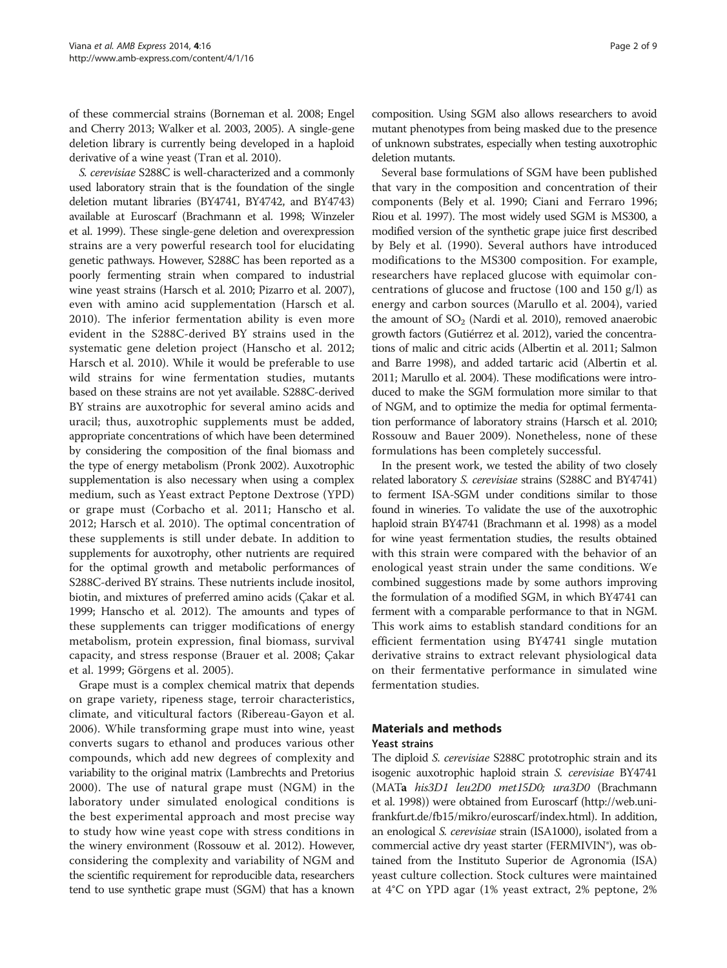of these commercial strains (Borneman et al. [2008;](#page-7-0) Engel and Cherry [2013](#page-7-0); Walker et al. [2003](#page-8-0), [2005](#page-8-0)). A single-gene deletion library is currently being developed in a haploid derivative of a wine yeast (Tran et al. [2010](#page-8-0)).

S. cerevisiae S288C is well-characterized and a commonly used laboratory strain that is the foundation of the single deletion mutant libraries (BY4741, BY4742, and BY4743) available at Euroscarf (Brachmann et al. [1998;](#page-7-0) Winzeler et al. [1999\)](#page-8-0). These single-gene deletion and overexpression strains are a very powerful research tool for elucidating genetic pathways. However, S288C has been reported as a poorly fermenting strain when compared to industrial wine yeast strains (Harsch et al. [2010;](#page-7-0) Pizarro et al. [2007](#page-8-0)), even with amino acid supplementation (Harsch et al. [2010\)](#page-7-0). The inferior fermentation ability is even more evident in the S288C-derived BY strains used in the systematic gene deletion project (Hanscho et al. [2012](#page-7-0); Harsch et al. [2010\)](#page-7-0). While it would be preferable to use wild strains for wine fermentation studies, mutants based on these strains are not yet available. S288C-derived BY strains are auxotrophic for several amino acids and uracil; thus, auxotrophic supplements must be added, appropriate concentrations of which have been determined by considering the composition of the final biomass and the type of energy metabolism (Pronk [2002\)](#page-8-0). Auxotrophic supplementation is also necessary when using a complex medium, such as Yeast extract Peptone Dextrose (YPD) or grape must (Corbacho et al. [2011;](#page-7-0) Hanscho et al. [2012;](#page-7-0) Harsch et al. [2010](#page-7-0)). The optimal concentration of these supplements is still under debate. In addition to supplements for auxotrophy, other nutrients are required for the optimal growth and metabolic performances of S288C-derived BY strains. These nutrients include inositol, biotin, and mixtures of preferred amino acids (Çakar et al. [1999;](#page-7-0) Hanscho et al. [2012\)](#page-7-0). The amounts and types of these supplements can trigger modifications of energy metabolism, protein expression, final biomass, survival capacity, and stress response (Brauer et al. [2008](#page-7-0); Çakar et al. [1999;](#page-7-0) Görgens et al. [2005](#page-7-0)).

Grape must is a complex chemical matrix that depends on grape variety, ripeness stage, terroir characteristics, climate, and viticultural factors (Ribereau-Gayon et al. [2006\)](#page-8-0). While transforming grape must into wine, yeast converts sugars to ethanol and produces various other compounds, which add new degrees of complexity and variability to the original matrix (Lambrechts and Pretorius [2000](#page-7-0)). The use of natural grape must (NGM) in the laboratory under simulated enological conditions is the best experimental approach and most precise way to study how wine yeast cope with stress conditions in the winery environment (Rossouw et al. [2012](#page-8-0)). However, considering the complexity and variability of NGM and the scientific requirement for reproducible data, researchers tend to use synthetic grape must (SGM) that has a known composition. Using SGM also allows researchers to avoid mutant phenotypes from being masked due to the presence of unknown substrates, especially when testing auxotrophic deletion mutants.

Several base formulations of SGM have been published that vary in the composition and concentration of their components (Bely et al. [1990;](#page-7-0) Ciani and Ferraro [1996](#page-7-0); Riou et al. [1997\)](#page-8-0). The most widely used SGM is MS300, a modified version of the synthetic grape juice first described by Bely et al. ([1990](#page-7-0)). Several authors have introduced modifications to the MS300 composition. For example, researchers have replaced glucose with equimolar concentrations of glucose and fructose (100 and 150 g/l) as energy and carbon sources (Marullo et al. [2004\)](#page-7-0), varied the amount of  $SO<sub>2</sub>$  (Nardi et al. [2010\)](#page-8-0), removed anaerobic growth factors (Gutiérrez et al. [2012\)](#page-7-0), varied the concentrations of malic and citric acids (Albertin et al. [2011;](#page-7-0) Salmon and Barre [1998](#page-8-0)), and added tartaric acid (Albertin et al. [2011;](#page-7-0) Marullo et al. [2004\)](#page-7-0). These modifications were introduced to make the SGM formulation more similar to that of NGM, and to optimize the media for optimal fermentation performance of laboratory strains (Harsch et al. [2010](#page-7-0); Rossouw and Bauer [2009](#page-8-0)). Nonetheless, none of these formulations has been completely successful.

In the present work, we tested the ability of two closely related laboratory S. cerevisiae strains (S288C and BY4741) to ferment ISA-SGM under conditions similar to those found in wineries. To validate the use of the auxotrophic haploid strain BY4741 (Brachmann et al. [1998\)](#page-7-0) as a model for wine yeast fermentation studies, the results obtained with this strain were compared with the behavior of an enological yeast strain under the same conditions. We combined suggestions made by some authors improving the formulation of a modified SGM, in which BY4741 can ferment with a comparable performance to that in NGM. This work aims to establish standard conditions for an efficient fermentation using BY4741 single mutation derivative strains to extract relevant physiological data on their fermentative performance in simulated wine fermentation studies.

# Materials and methods

#### Yeast strains

The diploid S. cerevisiae S288C prototrophic strain and its isogenic auxotrophic haploid strain S. cerevisiae BY4741 (MAT<sup>a</sup> his3D1 leu2D0 met15D0; ura3D0 (Brachmann et al. [1998\)](#page-7-0)) were obtained from Euroscarf [\(http://web.uni](http://web.uni-frankfurt.de/fb15/mikro/euroscarf/index.html)[frankfurt.de/fb15/mikro/euroscarf/index.html](http://web.uni-frankfurt.de/fb15/mikro/euroscarf/index.html)). In addition, an enological S. cerevisiae strain (ISA1000), isolated from a commercial active dry yeast starter (FERMIVIN®), was obtained from the Instituto Superior de Agronomia (ISA) yeast culture collection. Stock cultures were maintained at 4°C on YPD agar (1% yeast extract, 2% peptone, 2%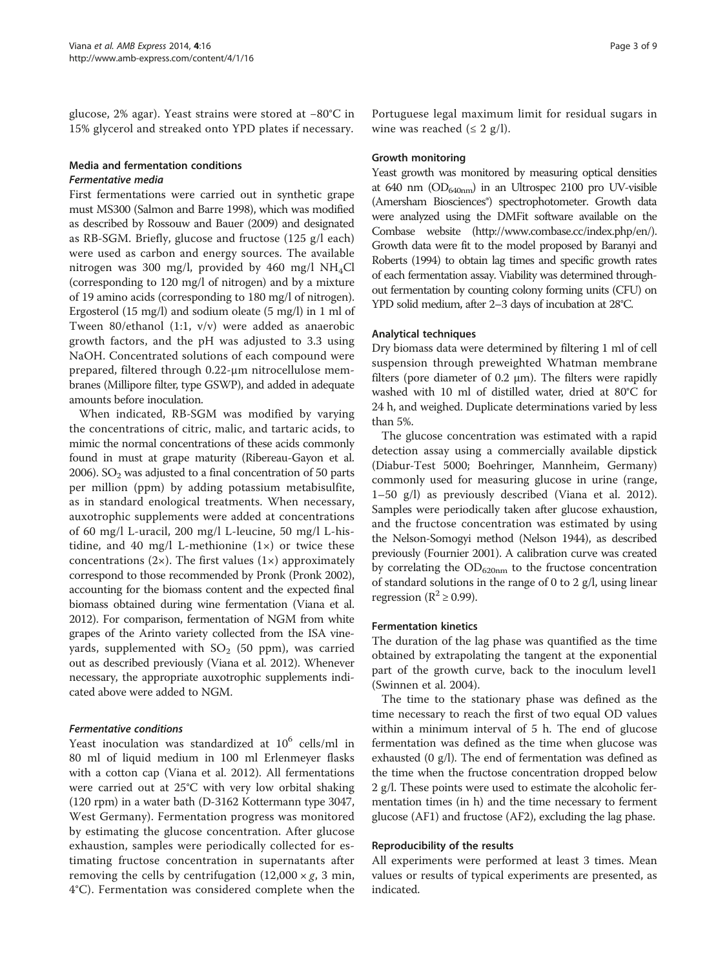glucose, 2% agar). Yeast strains were stored at −80°C in 15% glycerol and streaked onto YPD plates if necessary.

#### Media and fermentation conditions Fermentative media

First fermentations were carried out in synthetic grape must MS300 (Salmon and Barre [1998\)](#page-8-0), which was modified as described by Rossouw and Bauer [\(2009\)](#page-8-0) and designated as RB-SGM. Briefly, glucose and fructose (125 g/l each) were used as carbon and energy sources. The available nitrogen was 300 mg/l, provided by 460 mg/l NH<sub>4</sub>Cl (corresponding to 120 mg/l of nitrogen) and by a mixture of 19 amino acids (corresponding to 180 mg/l of nitrogen). Ergosterol (15 mg/l) and sodium oleate (5 mg/l) in 1 ml of Tween 80/ethanol (1:1, v/v) were added as anaerobic growth factors, and the pH was adjusted to 3.3 using NaOH. Concentrated solutions of each compound were prepared, filtered through 0.22-μm nitrocellulose membranes (Millipore filter, type GSWP), and added in adequate amounts before inoculation.

When indicated, RB-SGM was modified by varying the concentrations of citric, malic, and tartaric acids, to mimic the normal concentrations of these acids commonly found in must at grape maturity (Ribereau-Gayon et al. [2006\)](#page-8-0).  $SO<sub>2</sub>$  was adjusted to a final concentration of 50 parts per million (ppm) by adding potassium metabisulfite, as in standard enological treatments. When necessary, auxotrophic supplements were added at concentrations of 60 mg/l L-uracil, 200 mg/l L-leucine, 50 mg/l L-histidine, and 40 mg/l L-methionine  $(1\times)$  or twice these concentrations  $(2\times)$ . The first values  $(1\times)$  approximately correspond to those recommended by Pronk (Pronk [2002](#page-8-0)), accounting for the biomass content and the expected final biomass obtained during wine fermentation (Viana et al. [2012\)](#page-8-0). For comparison, fermentation of NGM from white grapes of the Arinto variety collected from the ISA vineyards, supplemented with  $SO<sub>2</sub>$  (50 ppm), was carried out as described previously (Viana et al. [2012\)](#page-8-0). Whenever necessary, the appropriate auxotrophic supplements indicated above were added to NGM.

#### Fermentative conditions

Yeast inoculation was standardized at  $10^6$  cells/ml in 80 ml of liquid medium in 100 ml Erlenmeyer flasks with a cotton cap (Viana et al. [2012](#page-8-0)). All fermentations were carried out at 25°C with very low orbital shaking (120 rpm) in a water bath (D-3162 Kottermann type 3047, West Germany). Fermentation progress was monitored by estimating the glucose concentration. After glucose exhaustion, samples were periodically collected for estimating fructose concentration in supernatants after removing the cells by centrifugation  $(12,000 \times g, 3 \text{ min},$ 4°C). Fermentation was considered complete when the

Portuguese legal maximum limit for residual sugars in wine was reached ( $\leq 2$  g/l).

#### Growth monitoring

Yeast growth was monitored by measuring optical densities at 640 nm  $OD_{640nm}$ ) in an Ultrospec 2100 pro UV-visible (Amersham Biosciences®) spectrophotometer. Growth data were analyzed using the DMFit software available on the Combase website [\(http://www.combase.cc/index.php/en/\)](http://www.combase.cc/index.php/en/). Growth data were fit to the model proposed by Baranyi and Roberts [\(1994](#page-7-0)) to obtain lag times and specific growth rates of each fermentation assay. Viability was determined throughout fermentation by counting colony forming units (CFU) on YPD solid medium, after 2–3 days of incubation at 28°C.

#### Analytical techniques

Dry biomass data were determined by filtering 1 ml of cell suspension through preweighted Whatman membrane filters (pore diameter of 0.2 μm). The filters were rapidly washed with 10 ml of distilled water, dried at 80°C for 24 h, and weighed. Duplicate determinations varied by less than 5%.

The glucose concentration was estimated with a rapid detection assay using a commercially available dipstick (Diabur-Test 5000; Boehringer, Mannheim, Germany) commonly used for measuring glucose in urine (range, 1–50 g/l) as previously described (Viana et al. [2012](#page-8-0)). Samples were periodically taken after glucose exhaustion, and the fructose concentration was estimated by using the Nelson-Somogyi method (Nelson [1944](#page-8-0)), as described previously (Fournier [2001](#page-7-0)). A calibration curve was created by correlating the  $OD_{620nm}$  to the fructose concentration of standard solutions in the range of 0 to 2 g/l, using linear regression ( $R^2 \ge 0.99$ ).

#### Fermentation kinetics

The duration of the lag phase was quantified as the time obtained by extrapolating the tangent at the exponential part of the growth curve, back to the inoculum level1 (Swinnen et al. [2004](#page-8-0)).

The time to the stationary phase was defined as the time necessary to reach the first of two equal OD values within a minimum interval of 5 h. The end of glucose fermentation was defined as the time when glucose was exhausted (0 g/l). The end of fermentation was defined as the time when the fructose concentration dropped below 2 g/l. These points were used to estimate the alcoholic fermentation times (in h) and the time necessary to ferment glucose (AF1) and fructose (AF2), excluding the lag phase.

#### Reproducibility of the results

All experiments were performed at least 3 times. Mean values or results of typical experiments are presented, as indicated.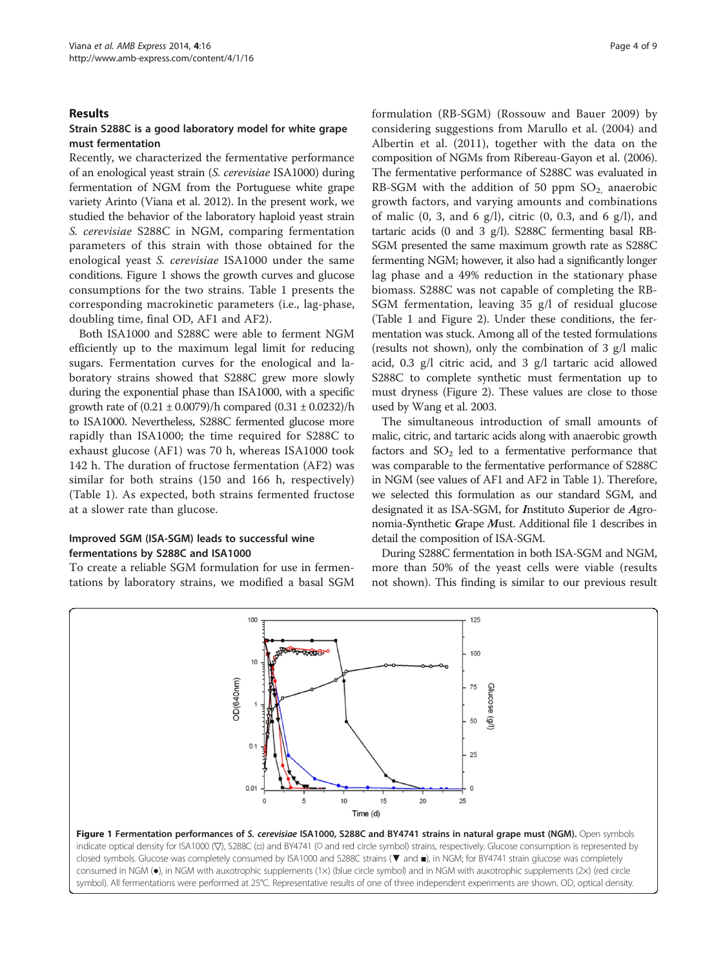#### <span id="page-3-0"></span>Results

#### Strain S288C is a good laboratory model for white grape must fermentation

Recently, we characterized the fermentative performance of an enological yeast strain (S. cerevisiae ISA1000) during fermentation of NGM from the Portuguese white grape variety Arinto (Viana et al. [2012](#page-8-0)). In the present work, we studied the behavior of the laboratory haploid yeast strain S. cerevisiae S288C in NGM, comparing fermentation parameters of this strain with those obtained for the enological yeast S. cerevisiae ISA1000 under the same conditions. Figure 1 shows the growth curves and glucose consumptions for the two strains. Table [1](#page-4-0) presents the corresponding macrokinetic parameters (i.e., lag-phase, doubling time, final OD, AF1 and AF2).

Both ISA1000 and S288C were able to ferment NGM efficiently up to the maximum legal limit for reducing sugars. Fermentation curves for the enological and laboratory strains showed that S288C grew more slowly during the exponential phase than ISA1000, with a specific growth rate of  $(0.21 \pm 0.0079)/h$  compared  $(0.31 \pm 0.0232)/h$ to ISA1000. Nevertheless, S288C fermented glucose more rapidly than ISA1000; the time required for S288C to exhaust glucose (AF1) was 70 h, whereas ISA1000 took 142 h. The duration of fructose fermentation (AF2) was similar for both strains (150 and 166 h, respectively) (Table [1](#page-4-0)). As expected, both strains fermented fructose at a slower rate than glucose.

#### Improved SGM (ISA-SGM) leads to successful wine fermentations by S288C and ISA1000

To create a reliable SGM formulation for use in fermentations by laboratory strains, we modified a basal SGM formulation (RB-SGM) (Rossouw and Bauer [2009](#page-8-0)) by considering suggestions from Marullo et al. [\(2004\)](#page-7-0) and Albertin et al. ([2011](#page-7-0)), together with the data on the composition of NGMs from Ribereau-Gayon et al. [\(2006](#page-8-0)). The fermentative performance of S288C was evaluated in RB-SGM with the addition of 50 ppm  $SO_2$  anaerobic growth factors, and varying amounts and combinations of malic  $(0, 3,$  and 6 g/l), citric  $(0, 0.3,$  and 6 g/l), and tartaric acids (0 and 3 g/l). S288C fermenting basal RB-SGM presented the same maximum growth rate as S288C fermenting NGM; however, it also had a significantly longer lag phase and a 49% reduction in the stationary phase biomass. S288C was not capable of completing the RB-SGM fermentation, leaving 35 g/l of residual glucose (Table [1](#page-4-0) and Figure [2\)](#page-4-0). Under these conditions, the fermentation was stuck. Among all of the tested formulations (results not shown), only the combination of 3 g/l malic acid, 0.3 g/l citric acid, and 3 g/l tartaric acid allowed S288C to complete synthetic must fermentation up to must dryness (Figure [2\)](#page-4-0). These values are close to those used by Wang et al. [2003](#page-8-0).

The simultaneous introduction of small amounts of malic, citric, and tartaric acids along with anaerobic growth factors and  $SO<sub>2</sub>$  led to a fermentative performance that was comparable to the fermentative performance of S288C in NGM (see values of AF1 and AF2 in Table [1\)](#page-4-0). Therefore, we selected this formulation as our standard SGM, and designated it as ISA-SGM, for Instituto Superior de Agronomia-Synthetic Grape Must. Additional file [1](#page-7-0) describes in detail the composition of ISA-SGM.

During S288C fermentation in both ISA-SGM and NGM, more than 50% of the yeast cells were viable (results not shown). This finding is similar to our previous result

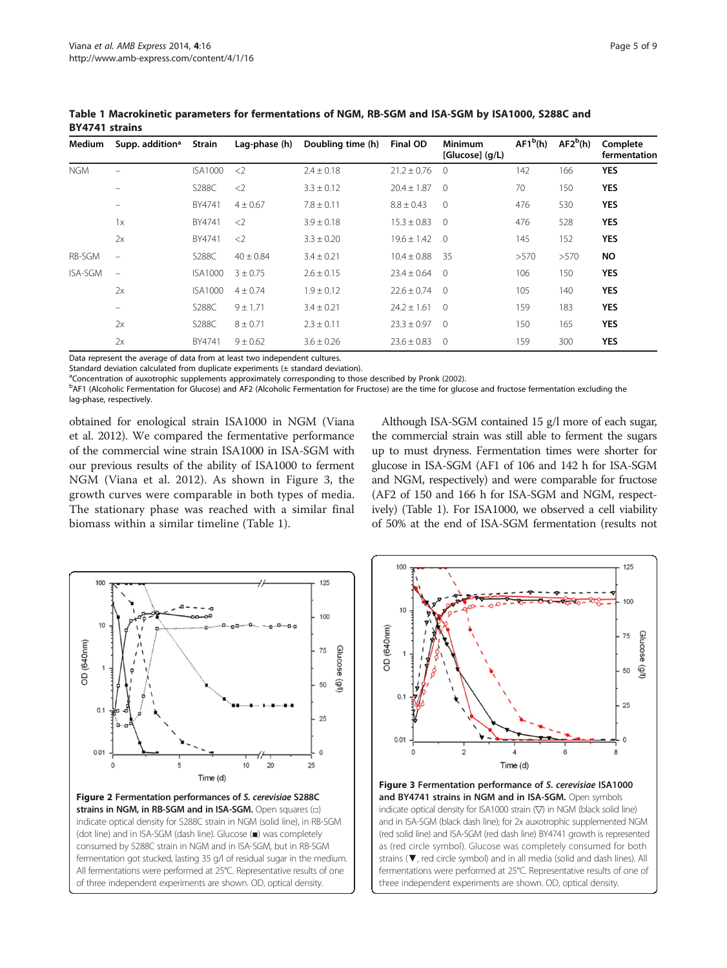| Medium     | Supp. addition <sup>a</sup> | <b>Strain</b>  | Lag-phase (h) | Doubling time (h) | Final OD        | <b>Minimum</b><br>[Glucose] (g/L) | $AF1^b(h)$ | $AF2^b(h)$ | Complete<br>fermentation |
|------------|-----------------------------|----------------|---------------|-------------------|-----------------|-----------------------------------|------------|------------|--------------------------|
| <b>NGM</b> | -                           | <b>ISA1000</b> | $<$ 2         | $2.4 \pm 0.18$    | $21.2 + 0.76$   | $\Omega$                          | 142        | 166        | <b>YES</b>               |
|            |                             | S288C          | $<$ 2         | $3.3 \pm 0.12$    | $20.4 \pm 1.87$ | $\Omega$                          | 70         | 150        | <b>YES</b>               |
|            | $\equiv$                    | BY4741         | $4 \pm 0.67$  | $7.8 \pm 0.11$    | $8.8 + 0.43$    | $\Omega$                          | 476        | 530        | <b>YES</b>               |
|            | 1x                          | BY4741         | $<$ 2         | $3.9 \pm 0.18$    | $15.3 \pm 0.83$ | $\Omega$                          | 476        | 528        | <b>YES</b>               |
|            | 2x                          | BY4741         | $\langle$ 2   | $3.3 \pm 0.20$    | $19.6 \pm 1.42$ | $\Omega$                          | 145        | 152        | <b>YES</b>               |
| RB-SGM     | $\overline{\phantom{m}}$    | S288C          | $40 \pm 0.84$ | $3.4 \pm 0.21$    | $10.4 \pm 0.88$ | 35                                | >570       | >570       | <b>NO</b>                |
| ISA-SGM    | $\overline{\phantom{0}}$    | <b>ISA1000</b> | $3 \pm 0.75$  | $2.6 \pm 0.15$    | $23.4 \pm 0.64$ | $\Omega$                          | 106        | 150        | <b>YES</b>               |
|            | 2x                          | <b>ISA1000</b> | $4 \pm 0.74$  | $1.9 \pm 0.12$    | $22.6 \pm 0.74$ | $\Omega$                          | 105        | 140        | <b>YES</b>               |
|            | -                           | S288C          | $9 + 1.71$    | $3.4 \pm 0.21$    | $24.2 \pm 1.61$ | $\Omega$                          | 159        | 183        | <b>YES</b>               |
|            | 2x                          | S288C          | $8 \pm 0.71$  | $2.3 \pm 0.11$    | $23.3 \pm 0.97$ | $\Omega$                          | 150        | 165        | <b>YES</b>               |
|            | 2x                          | BY4741         | $9 \pm 0.62$  | $3.6 \pm 0.26$    | $23.6 \pm 0.83$ | $\Omega$                          | 159        | 300        | <b>YES</b>               |

<span id="page-4-0"></span>Table 1 Macrokinetic parameters for fermentations of NGM, RB-SGM and ISA-SGM by ISA1000, S288C and BY4741 strains

Data represent the average of data from at least two independent cultures.

Standard deviation calculated from duplicate experiments (± standard deviation).

<sup>a</sup>Concentration of auxotrophic supplements approximately corresponding to those described by Pronk [\(2002\)](#page-8-0).<br><sup>b</sup>AE1 (Alcoholic Fermentation for Glucose) and AE2 (Alcoholic Fermentation for Eructose) are the time for gluc

bAF1 (Alcoholic Fermentation for Glucose) and AF2 (Alcoholic Fermentation for Fructose) are the time for glucose and fructose fermentation excluding the lag-phase, respectively.

obtained for enological strain ISA1000 in NGM (Viana et al. [2012\)](#page-8-0). We compared the fermentative performance of the commercial wine strain ISA1000 in ISA-SGM with our previous results of the ability of ISA1000 to ferment NGM (Viana et al. [2012](#page-8-0)). As shown in Figure 3, the growth curves were comparable in both types of media. The stationary phase was reached with a similar final biomass within a similar timeline (Table 1).

Although ISA-SGM contained 15 g/l more of each sugar, the commercial strain was still able to ferment the sugars up to must dryness. Fermentation times were shorter for glucose in ISA-SGM (AF1 of 106 and 142 h for ISA-SGM and NGM, respectively) and were comparable for fructose (AF2 of 150 and 166 h for ISA-SGM and NGM, respectively) (Table 1). For ISA1000, we observed a cell viability of 50% at the end of ISA-SGM fermentation (results not





Figure 3 Fermentation performance of S. cerevisiae ISA1000 and BY4741 strains in NGM and in ISA-SGM. Open symbols indicate optical density for ISA1000 strain (▽) in NGM (black solid line) and in ISA-SGM (black dash line); for 2x auxotrophic supplemented NGM (red solid line) and ISA-SGM (red dash line) BY4741 growth is represented as (red circle symbol). Glucose was completely consumed for both strains (▼, red circle symbol) and in all media (solid and dash lines). All fermentations were performed at 25°C. Representative results of one of three independent experiments are shown. OD, optical density.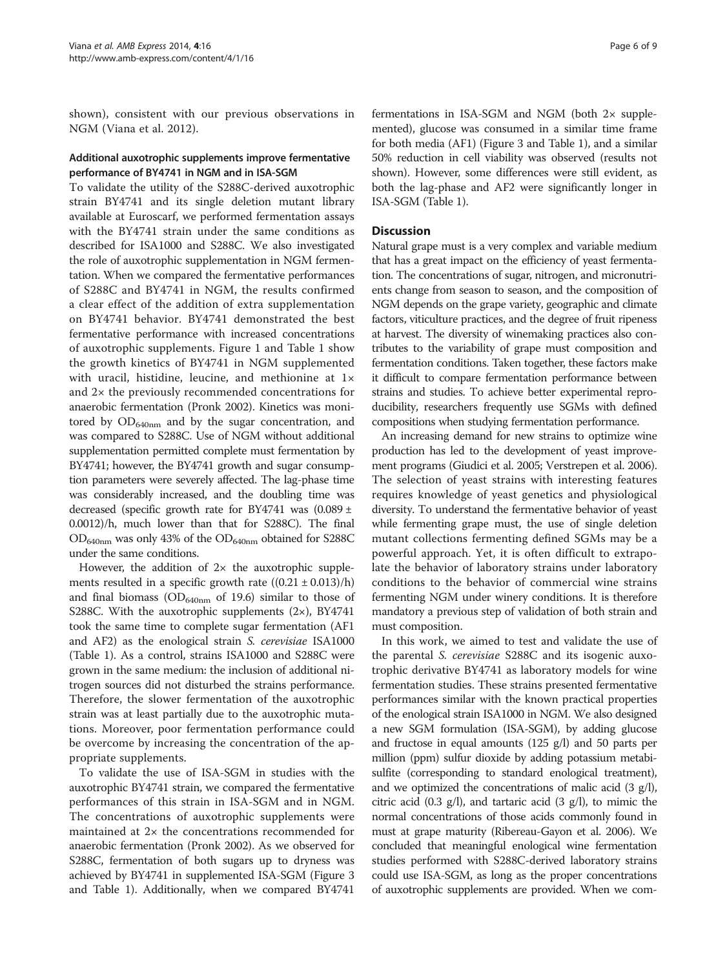shown), consistent with our previous observations in NGM (Viana et al. [2012](#page-8-0)).

#### Additional auxotrophic supplements improve fermentative performance of BY4741 in NGM and in ISA-SGM

To validate the utility of the S288C-derived auxotrophic strain BY4741 and its single deletion mutant library available at Euroscarf, we performed fermentation assays with the BY4741 strain under the same conditions as described for ISA1000 and S288C. We also investigated the role of auxotrophic supplementation in NGM fermentation. When we compared the fermentative performances of S288C and BY4741 in NGM, the results confirmed a clear effect of the addition of extra supplementation on BY4741 behavior. BY4741 demonstrated the best fermentative performance with increased concentrations of auxotrophic supplements. Figure [1](#page-3-0) and Table [1](#page-4-0) show the growth kinetics of BY4741 in NGM supplemented with uracil, histidine, leucine, and methionine at 1× and 2× the previously recommended concentrations for anaerobic fermentation (Pronk [2002\)](#page-8-0). Kinetics was monitored by  $OD_{640nm}$  and by the sugar concentration, and was compared to S288C. Use of NGM without additional supplementation permitted complete must fermentation by BY4741; however, the BY4741 growth and sugar consumption parameters were severely affected. The lag-phase time was considerably increased, and the doubling time was decreased (specific growth rate for BY4741 was  $(0.089 \pm$ 0.0012)/h, much lower than that for S288C). The final  $\rm OD_{640nm}$  was only 43% of the  $\rm OD_{640nm}$  obtained for S288C under the same conditions.

However, the addition of  $2x$  the auxotrophic supplements resulted in a specific growth rate  $((0.21 \pm 0.013)/h)$ and final biomass ( $OD_{640nm}$  of 19.6) similar to those of S288C. With the auxotrophic supplements (2×), BY4741 took the same time to complete sugar fermentation (AF1 and AF2) as the enological strain S. cerevisiae ISA1000 (Table [1](#page-4-0)). As a control, strains ISA1000 and S288C were grown in the same medium: the inclusion of additional nitrogen sources did not disturbed the strains performance. Therefore, the slower fermentation of the auxotrophic strain was at least partially due to the auxotrophic mutations. Moreover, poor fermentation performance could be overcome by increasing the concentration of the appropriate supplements.

To validate the use of ISA-SGM in studies with the auxotrophic BY4741 strain, we compared the fermentative performances of this strain in ISA-SGM and in NGM. The concentrations of auxotrophic supplements were maintained at 2× the concentrations recommended for anaerobic fermentation (Pronk [2002](#page-8-0)). As we observed for S288C, fermentation of both sugars up to dryness was achieved by BY4741 in supplemented ISA-SGM (Figure [3](#page-4-0) and Table [1](#page-4-0)). Additionally, when we compared BY4741

fermentations in ISA-SGM and NGM (both 2× supplemented), glucose was consumed in a similar time frame for both media (AF1) (Figure [3](#page-4-0) and Table [1\)](#page-4-0), and a similar 50% reduction in cell viability was observed (results not shown). However, some differences were still evident, as both the lag-phase and AF2 were significantly longer in ISA-SGM (Table [1\)](#page-4-0).

#### **Discussion**

Natural grape must is a very complex and variable medium that has a great impact on the efficiency of yeast fermentation. The concentrations of sugar, nitrogen, and micronutrients change from season to season, and the composition of NGM depends on the grape variety, geographic and climate factors, viticulture practices, and the degree of fruit ripeness at harvest. The diversity of winemaking practices also contributes to the variability of grape must composition and fermentation conditions. Taken together, these factors make it difficult to compare fermentation performance between strains and studies. To achieve better experimental reproducibility, researchers frequently use SGMs with defined compositions when studying fermentation performance.

An increasing demand for new strains to optimize wine production has led to the development of yeast improvement programs (Giudici et al. [2005;](#page-7-0) Verstrepen et al. [2006](#page-8-0)). The selection of yeast strains with interesting features requires knowledge of yeast genetics and physiological diversity. To understand the fermentative behavior of yeast while fermenting grape must, the use of single deletion mutant collections fermenting defined SGMs may be a powerful approach. Yet, it is often difficult to extrapolate the behavior of laboratory strains under laboratory conditions to the behavior of commercial wine strains fermenting NGM under winery conditions. It is therefore mandatory a previous step of validation of both strain and must composition.

In this work, we aimed to test and validate the use of the parental S. cerevisiae S288C and its isogenic auxotrophic derivative BY4741 as laboratory models for wine fermentation studies. These strains presented fermentative performances similar with the known practical properties of the enological strain ISA1000 in NGM. We also designed a new SGM formulation (ISA-SGM), by adding glucose and fructose in equal amounts (125 g/l) and 50 parts per million (ppm) sulfur dioxide by adding potassium metabisulfite (corresponding to standard enological treatment), and we optimized the concentrations of malic acid (3 g/l), citric acid  $(0.3 \text{ g/l})$ , and tartaric acid  $(3 \text{ g/l})$ , to mimic the normal concentrations of those acids commonly found in must at grape maturity (Ribereau-Gayon et al. [2006\)](#page-8-0). We concluded that meaningful enological wine fermentation studies performed with S288C-derived laboratory strains could use ISA-SGM, as long as the proper concentrations of auxotrophic supplements are provided. When we com-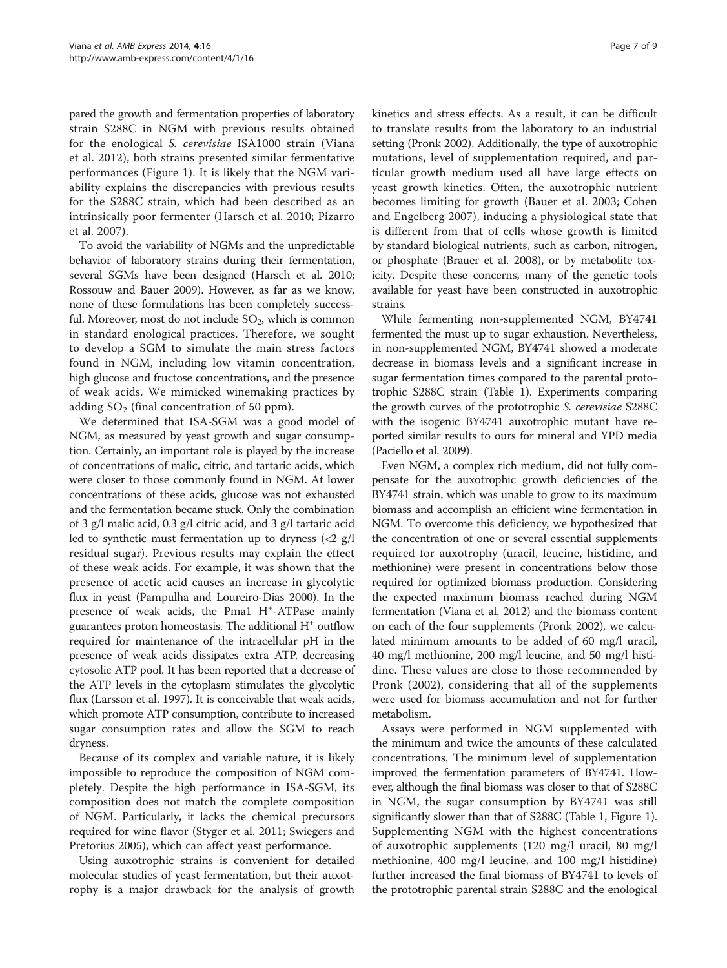pared the growth and fermentation properties of laboratory strain S288C in NGM with previous results obtained for the enological S. cerevisiae ISA1000 strain (Viana et al. [2012\)](#page-8-0), both strains presented similar fermentative performances (Figure [1\)](#page-3-0). It is likely that the NGM variability explains the discrepancies with previous results for the S288C strain, which had been described as an intrinsically poor fermenter (Harsch et al. [2010](#page-7-0); Pizarro et al. [2007\)](#page-8-0).

To avoid the variability of NGMs and the unpredictable behavior of laboratory strains during their fermentation, several SGMs have been designed (Harsch et al. [2010](#page-7-0); Rossouw and Bauer [2009\)](#page-8-0). However, as far as we know, none of these formulations has been completely successful. Moreover, most do not include  $SO<sub>2</sub>$ , which is common in standard enological practices. Therefore, we sought to develop a SGM to simulate the main stress factors found in NGM, including low vitamin concentration, high glucose and fructose concentrations, and the presence of weak acids. We mimicked winemaking practices by adding  $SO<sub>2</sub>$  (final concentration of 50 ppm).

We determined that ISA-SGM was a good model of NGM, as measured by yeast growth and sugar consumption. Certainly, an important role is played by the increase of concentrations of malic, citric, and tartaric acids, which were closer to those commonly found in NGM. At lower concentrations of these acids, glucose was not exhausted and the fermentation became stuck. Only the combination of 3 g/l malic acid, 0.3 g/l citric acid, and 3 g/l tartaric acid led to synthetic must fermentation up to dryness  $\langle \langle 2 \rangle$  g/l residual sugar). Previous results may explain the effect of these weak acids. For example, it was shown that the presence of acetic acid causes an increase in glycolytic flux in yeast (Pampulha and Loureiro-Dias [2000](#page-8-0)). In the presence of weak acids, the Pma1 H<sup>+</sup>-ATPase mainly guarantees proton homeostasis. The additional  $H^+$  outflow required for maintenance of the intracellular pH in the presence of weak acids dissipates extra ATP, decreasing cytosolic ATP pool. It has been reported that a decrease of the ATP levels in the cytoplasm stimulates the glycolytic flux (Larsson et al. [1997](#page-7-0)). It is conceivable that weak acids, which promote ATP consumption, contribute to increased sugar consumption rates and allow the SGM to reach dryness.

Because of its complex and variable nature, it is likely impossible to reproduce the composition of NGM completely. Despite the high performance in ISA-SGM, its composition does not match the complete composition of NGM. Particularly, it lacks the chemical precursors required for wine flavor (Styger et al. [2011;](#page-8-0) Swiegers and Pretorius [2005\)](#page-8-0), which can affect yeast performance.

Using auxotrophic strains is convenient for detailed molecular studies of yeast fermentation, but their auxotrophy is a major drawback for the analysis of growth kinetics and stress effects. As a result, it can be difficult to translate results from the laboratory to an industrial setting (Pronk [2002](#page-8-0)). Additionally, the type of auxotrophic mutations, level of supplementation required, and particular growth medium used all have large effects on yeast growth kinetics. Often, the auxotrophic nutrient becomes limiting for growth (Bauer et al. [2003](#page-7-0); Cohen and Engelberg [2007](#page-7-0)), inducing a physiological state that is different from that of cells whose growth is limited by standard biological nutrients, such as carbon, nitrogen, or phosphate (Brauer et al. [2008](#page-7-0)), or by metabolite toxicity. Despite these concerns, many of the genetic tools available for yeast have been constructed in auxotrophic strains.

While fermenting non-supplemented NGM, BY4741 fermented the must up to sugar exhaustion. Nevertheless, in non-supplemented NGM, BY4741 showed a moderate decrease in biomass levels and a significant increase in sugar fermentation times compared to the parental prototrophic S288C strain (Table [1\)](#page-4-0). Experiments comparing the growth curves of the prototrophic S. cerevisiae S288C with the isogenic BY4741 auxotrophic mutant have reported similar results to ours for mineral and YPD media (Paciello et al. [2009\)](#page-8-0).

Even NGM, a complex rich medium, did not fully compensate for the auxotrophic growth deficiencies of the BY4741 strain, which was unable to grow to its maximum biomass and accomplish an efficient wine fermentation in NGM. To overcome this deficiency, we hypothesized that the concentration of one or several essential supplements required for auxotrophy (uracil, leucine, histidine, and methionine) were present in concentrations below those required for optimized biomass production. Considering the expected maximum biomass reached during NGM fermentation (Viana et al. [2012\)](#page-8-0) and the biomass content on each of the four supplements (Pronk [2002](#page-8-0)), we calculated minimum amounts to be added of 60 mg/l uracil, 40 mg/l methionine, 200 mg/l leucine, and 50 mg/l histidine. These values are close to those recommended by Pronk ([2002\)](#page-8-0), considering that all of the supplements were used for biomass accumulation and not for further metabolism.

Assays were performed in NGM supplemented with the minimum and twice the amounts of these calculated concentrations. The minimum level of supplementation improved the fermentation parameters of BY4741. However, although the final biomass was closer to that of S288C in NGM, the sugar consumption by BY4741 was still significantly slower than that of S288C (Table [1](#page-4-0), Figure [1](#page-3-0)). Supplementing NGM with the highest concentrations of auxotrophic supplements (120 mg/l uracil, 80 mg/l methionine, 400 mg/l leucine, and 100 mg/l histidine) further increased the final biomass of BY4741 to levels of the prototrophic parental strain S288C and the enological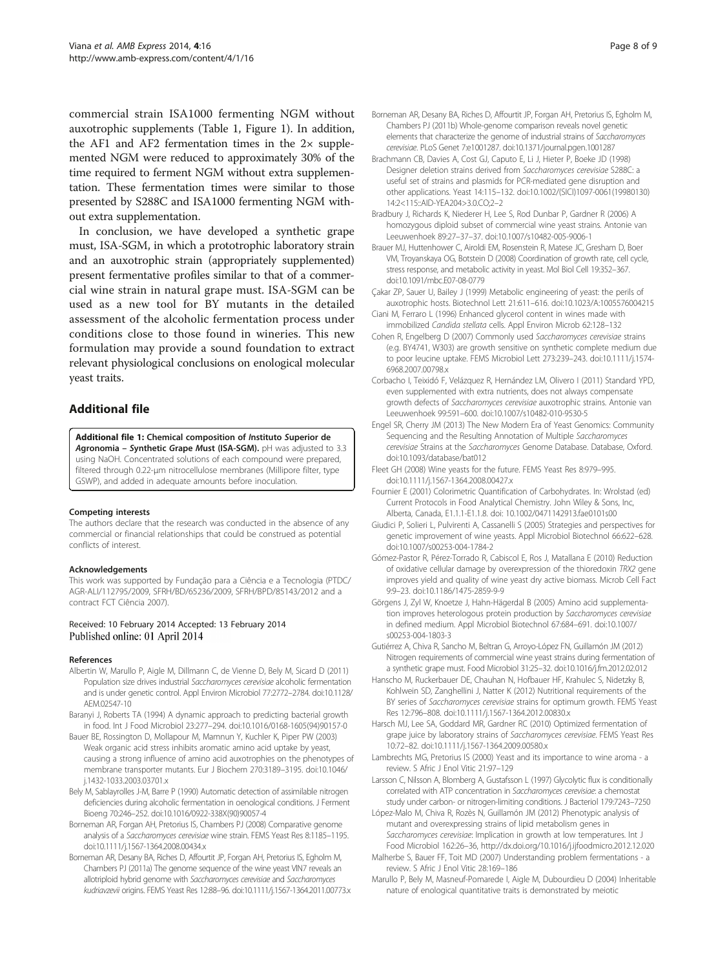<span id="page-7-0"></span>commercial strain ISA1000 fermenting NGM without auxotrophic supplements (Table [1](#page-4-0), Figure [1\)](#page-3-0). In addition, the AF1 and AF2 fermentation times in the 2× supplemented NGM were reduced to approximately 30% of the time required to ferment NGM without extra supplementation. These fermentation times were similar to those presented by S288C and ISA1000 fermenting NGM without extra supplementation.

In conclusion, we have developed a synthetic grape must, ISA-SGM, in which a prototrophic laboratory strain and an auxotrophic strain (appropriately supplemented) present fermentative profiles similar to that of a commercial wine strain in natural grape must. ISA-SGM can be used as a new tool for BY mutants in the detailed assessment of the alcoholic fermentation process under conditions close to those found in wineries. This new formulation may provide a sound foundation to extract relevant physiological conclusions on enological molecular yeast traits.

# Additional file

[Additional file 1:](http://www.biomedcentral.com/content/supplementary/13568_2014_16_MOESM1_ESM.doc) Chemical composition of Instituto Superior de Agronomia – Synthetic Grape Must (ISA-SGM). pH was adjusted to 3.3 using NaOH. Concentrated solutions of each compound were prepared, filtered through 0.22-μm nitrocellulose membranes (Millipore filter, type GSWP), and added in adequate amounts before inoculation.

#### Competing interests

The authors declare that the research was conducted in the absence of any commercial or financial relationships that could be construed as potential conflicts of interest.

#### Acknowledgements

This work was supported by Fundação para a Ciência e a Tecnologia (PTDC/ AGR-ALI/112795/2009, SFRH/BD/65236/2009, SFRH/BPD/85143/2012 and a contract FCT Ciência 2007).

# Received: 10 February 2014 Accepted: 13 February 2014

#### References

- Albertin W, Marullo P, Aigle M, Dillmann C, de Vienne D, Bely M, Sicard D (2011) Population size drives industrial Saccharomyces cerevisiae alcoholic fermentation and is under genetic control. Appl Environ Microbiol 77:2772–2784. doi:10.1128/ AEM.02547-10
- Baranyi J, Roberts TA (1994) A dynamic approach to predicting bacterial growth in food. Int J Food Microbiol 23:277–294. doi:10.1016/0168-1605(94)90157-0
- Bauer BE, Rossington D, Mollapour M, Mamnun Y, Kuchler K, Piper PW (2003) Weak organic acid stress inhibits aromatic amino acid uptake by yeast, causing a strong influence of amino acid auxotrophies on the phenotypes of membrane transporter mutants. Eur J Biochem 270:3189–3195. doi:10.1046/ j.1432-1033.2003.03701.x
- Bely M, Sablayrolles J-M, Barre P (1990) Automatic detection of assimilable nitrogen deficiencies during alcoholic fermentation in oenological conditions. J Ferment Bioeng 70:246–252. doi:10.1016/0922-338X(90)90057-4
- Borneman AR, Forgan AH, Pretorius IS, Chambers PJ (2008) Comparative genome analysis of a Saccharomyces cerevisiae wine strain. FEMS Yeast Res 8:1185–1195. doi:10.1111/j.1567-1364.2008.00434.x
- Borneman AR, Desany BA, Riches D, Affourtit JP, Forgan AH, Pretorius IS, Egholm M, Chambers PJ (2011a) The genome sequence of the wine yeast VIN7 reveals an allotriploid hybrid genome with Saccharomyces cerevisiae and Saccharomyces kudriavzevii origins. FEMS Yeast Res 12:88–96. doi:10.1111/j.1567-1364.2011.00773.x
- Borneman AR, Desany BA, Riches D, Affourtit JP, Forgan AH, Pretorius IS, Egholm M, Chambers PJ (2011b) Whole-genome comparison reveals novel genetic elements that characterize the genome of industrial strains of Saccharomyces cerevisiae. PLoS Genet 7:e1001287. doi:10.1371/journal.pgen.1001287
- Brachmann CB, Davies A, Cost GJ, Caputo E, Li J, Hieter P, Boeke JD (1998) Designer deletion strains derived from Saccharomyces cerevisiae S288C: a useful set of strains and plasmids for PCR-mediated gene disruption and other applications. Yeast 14:115–132. doi:10.1002/(SICI)1097-0061(19980130) 14:2<115::AID-YEA204>3.0.CO;2–2
- Bradbury J, Richards K, Niederer H, Lee S, Rod Dunbar P, Gardner R (2006) A homozygous diploid subset of commercial wine yeast strains. Antonie van Leeuwenhoek 89:27–37–37. doi:10.1007/s10482-005-9006-1
- Brauer MJ, Huttenhower C, Airoldi EM, Rosenstein R, Matese JC, Gresham D, Boer VM, Troyanskaya OG, Botstein D (2008) Coordination of growth rate, cell cycle, stress response, and metabolic activity in yeast. Mol Biol Cell 19:352–367. doi:10.1091/mbc.E07-08-0779
- Çakar ZP, Sauer U, Bailey J (1999) Metabolic engineering of yeast: the perils of auxotrophic hosts. Biotechnol Lett 21:611–616. doi:10.1023/A:1005576004215
- Ciani M, Ferraro L (1996) Enhanced glycerol content in wines made with immobilized Candida stellata cells. Appl Environ Microb 62:128–132
- Cohen R, Engelberg D (2007) Commonly used Saccharomyces cerevisiae strains (e.g. BY4741, W303) are growth sensitive on synthetic complete medium due to poor leucine uptake. FEMS Microbiol Lett 273:239–243. doi:10.1111/j.1574- 6968.2007.00798.x
- Corbacho I, Teixidó F, Velázquez R, Hernández LM, Olivero I (2011) Standard YPD, even supplemented with extra nutrients, does not always compensate growth defects of Saccharomyces cerevisiae auxotrophic strains. Antonie van Leeuwenhoek 99:591–600. doi:10.1007/s10482-010-9530-5
- Engel SR, Cherry JM (2013) The New Modern Era of Yeast Genomics: Community Sequencing and the Resulting Annotation of Multiple Saccharomyces cerevisiae Strains at the Saccharomyces Genome Database. Database, Oxford. doi:10.1093/database/bat012
- Fleet GH (2008) Wine yeasts for the future. FEMS Yeast Res 8:979–995. doi:10.1111/j.1567-1364.2008.00427.x
- Fournier E (2001) Colorimetric Quantification of Carbohydrates. In: Wrolstad (ed) Current Protocols in Food Analytical Chemistry. John Wiley & Sons, Inc, Alberta, Canada, E1.1.1-E1.1.8. doi: 10.1002/0471142913.fae0101s00
- Giudici P, Solieri L, Pulvirenti A, Cassanelli S (2005) Strategies and perspectives for genetic improvement of wine yeasts. Appl Microbiol Biotechnol 66:622–628. doi:10.1007/s00253-004-1784-2
- Gómez-Pastor R, Pérez-Torrado R, Cabiscol E, Ros J, Matallana E (2010) Reduction of oxidative cellular damage by overexpression of the thioredoxin TRX2 gene improves yield and quality of wine yeast dry active biomass. Microb Cell Fact 9:9–23. doi:10.1186/1475-2859-9-9
- Görgens J, Zyl W, Knoetze J, Hahn-Hägerdal B (2005) Amino acid supplementation improves heterologous protein production by Saccharomyces cerevisiae in defined medium. Appl Microbiol Biotechnol 67:684–691. doi:10.1007/ s00253-004-1803-3
- Gutiérrez A, Chiva R, Sancho M, Beltran G, Arroyo-López FN, Guillamón JM (2012) Nitrogen requirements of commercial wine yeast strains during fermentation of a synthetic grape must. Food Microbiol 31:25–32. doi:10.1016/j.fm.2012.02.012
- Hanscho M, Ruckerbauer DE, Chauhan N, Hofbauer HF, Krahulec S, Nidetzky B, Kohlwein SD, Zanghellini J, Natter K (2012) Nutritional requirements of the BY series of Saccharomyces cerevisiae strains for optimum growth. FEMS Yeast Res 12:796–808. doi:10.1111/j.1567-1364.2012.00830.x
- Harsch MJ, Lee SA, Goddard MR, Gardner RC (2010) Optimized fermentation of grape juice by laboratory strains of Saccharomyces cerevisiae. FEMS Yeast Res 10:72–82. doi:10.1111/j.1567-1364.2009.00580.x
- Lambrechts MG, Pretorius IS (2000) Yeast and its importance to wine aroma a review. S Afric J Enol Vitic 21:97–129
- Larsson C, Nilsson A, Blomberg A, Gustafsson L (1997) Glycolytic flux is conditionally correlated with ATP concentration in Saccharomyces cerevisiae: a chemostat study under carbon- or nitrogen-limiting conditions. J Bacteriol 179:7243–7250

López-Malo M, Chiva R, Rozès N, Guillamón JM (2012) Phenotypic analysis of mutant and overexpressing strains of lipid metabolism genes in Saccharomyces cerevisiae: Implication in growth at low temperatures. Int J Food Microbiol 162:26–36,<http://dx.doi.org/10.1016/j.ijfoodmicro.2012.12.020>

- Malherbe S, Bauer FF, Toit MD (2007) Understanding problem fermentations a review. S Afric J Enol Vitic 28:169–186
- Marullo P, Bely M, Masneuf-Pomarede I, Aigle M, Dubourdieu D (2004) Inheritable nature of enological quantitative traits is demonstrated by meiotic